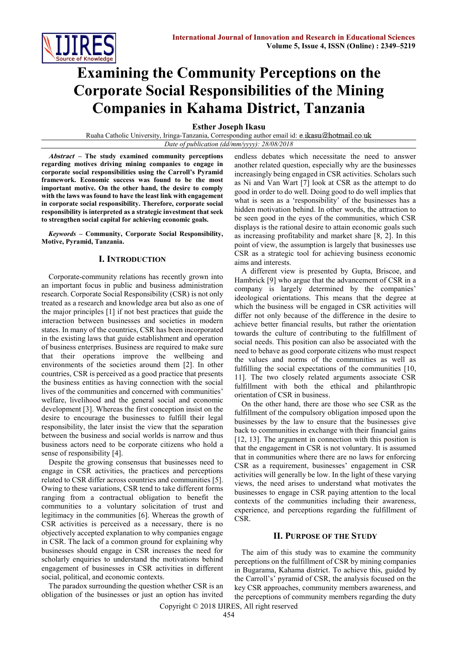

# **Examining the Community Perceptions on the Corporate Social Responsibilities of the Mining Companies in Kahama District, Tanzania**

**Esther Joseph Ikasu**

Ruaha Catholic University, Iringa-Tanzania, Corresponding author email id: e.ikasu@hotmail.co.uk *Date of publication (dd/mm/yyyy): 28/08/2018*

**Abstract – The study examined community perceptions regarding motives driving mining companies to engage in corporate social responsibilities using the Carroll's Pyramid framework. Economic success was found to be the most important motive. On the other hand, the desire to comply with the laws was found to have the least link with engagement in corporate social responsibility. Therefore, corporate social responsibility is interpreted as a strategic investment that seek to strengthen social capital for achieving economic goals.**

*Keywords* **– Community, Corporate Social Responsibility, Motive, Pyramid, Tanzania.**

## **I. INTRODUCTION**

Corporate-community relations has recently grown into an important focus in public and business administration research. Corporate Social Responsibility (CSR) is not only treated as a research and knowledge area but also as one of the major principles [1] if not best practices that guide the interaction between businesses and societies in modern states. In many of the countries, CSR has been incorporated in the existing laws that guide establishment and operation of business enterprises. Business are required to make sure that their operations improve the wellbeing and environments of the societies around them [2]. In other countries, CSR is perceived as a good practice that presents the business entities as having connection with the social lives of the communities and concerned with communities' welfare, livelihood and the general social and economic development [3]. Whereas the first conception insist on the desire to encourage the businesses to fulfill their legal responsibility, the later insist the view that the separation between the business and social worlds is narrow and thus business actors need to be corporate citizens who hold a sense of responsibility [4].

Despite the growing consensus that businesses need to engage in CSR activities, the practices and perceptions related to CSR differ across countries and communities [5]. Owing to these variations, CSR tend to take different forms ranging from a contractual obligation to benefit the communities to a voluntary solicitation of trust and legitimacy in the communities [6]. Whereas the growth of CSR activities is perceived as a necessary, there is no objectively accepted explanation to why companies engage in CSR. The lack of a common ground for explaining why businesses should engage in CSR increases the need for scholarly enquiries to understand the motivations behind engagement of businesses in CSR activities in different social, political, and economic contexts.

The paradox surrounding the question whether CSR is an obligation of the businesses or just an option has invited

endless debates which necessitate the need to answer another related question, especially why are the businesses increasingly being engaged in CSR activities. Scholars such as Ni and Van Wart [7] look at CSR as the attempt to do good in order to do well. Doing good to do well implies that what is seen as a 'responsibility' of the businesses has a hidden motivation behind. In other words, the attraction to be seen good in the eyes of the communities, which CSR displays is the rational desire to attain economic goals such as increasing profitability and market share [8, 2]. In this point of view, the assumption is largely that businesses use CSR as a strategic tool for achieving business economic aims and interests.

A different view is presented by Gupta, Briscoe, and Hambrick [9] who argue that the advancement of CSR in a company is largely determined by the companies' ideological orientations. This means that the degree at which the business will be engaged in CSR activities will differ not only because of the difference in the desire to achieve better financial results, but rather the orientation towards the culture of contributing to the fulfillment of social needs. This position can also be associated with the need to behave as good corporate citizens who must respect the values and norms of the communities as well as fulfilling the social expectations of the communities [10, 11]. The two closely related arguments associate CSR fulfillment with both the ethical and philanthropic orientation of CSR in business.

On the other hand, there are those who see CSR as the fulfillment of the compulsory obligation imposed upon the businesses by the law to ensure that the businesses give back to communities in exchange with their financial gains [12, 13]. The argument in connection with this position is that the engagement in CSR is not voluntary. It is assumed that in communities where there are no laws for enforcing CSR as a requirement, businesses' engagement in CSR activities will generally be low. In the light of these varying views, the need arises to understand what motivates the businesses to engage in CSR paying attention to the local contexts of the communities including their awareness, experience, and perceptions regarding the fulfillment of CSR.

## **II. PURPOSE OF THE STUDY**

The aim of this study was to examine the community perceptions on the fulfillment of CSR by mining companies in Bugarama, Kahama district. To achieve this, guided by the Carroll's' pyramid of CSR, the analysis focused on the key CSR approaches, community members awareness, and the perceptions of community members regarding the duty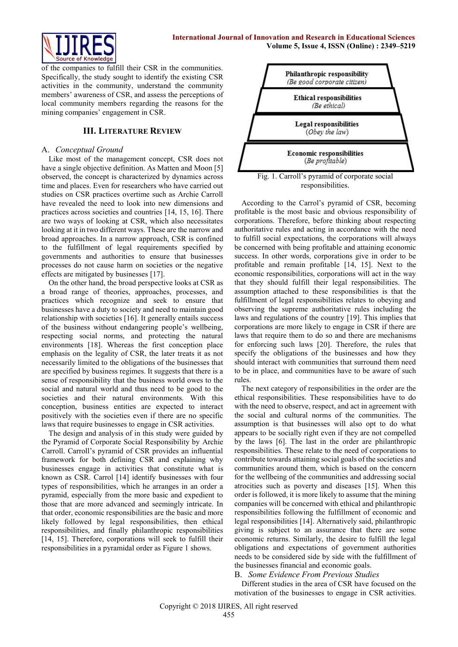

of the companies to fulfill their CSR in the communities. Specifically, the study sought to identify the existing CSR activities in the community, understand the community members' awareness of CSR, and assess the perceptions of local community members regarding the reasons for the mining companies' engagement in CSR.

## **III. LITERATURE REVIEW**

## A. *Conceptual Ground*

Like most of the management concept, CSR does not have a single objective definition. As Matten and Moon [5] observed, the concept is characterized by dynamics across time and places. Even for researchers who have carried out studies on CSR practices overtime such as Archie Carroll have revealed the need to look into new dimensions and practices across societies and countries [14, 15, 16]. There are two ways of looking at CSR, which also necessitates looking at it in two different ways. These are the narrow and broad approaches. In a narrow approach, CSR is confined to the fulfillment of legal requirements specified by governments and authorities to ensure that businesses processes do not cause harm on societies or the negative effects are mitigated by businesses [17].

On the other hand, the broad perspective looks at CSR as a broad range of theories, approaches, processes, and practices which recognize and seek to ensure that businesses have a duty to society and need to maintain good relationship with societies [16]. It generally entails success of the business without endangering people's wellbeing, respecting social norms, and protecting the natural environments [18]. Whereas the first conception place emphasis on the legality of CSR, the later treats it as not necessarily limited to the obligations of the businesses that are specified by business regimes. It suggests that there is a sense of responsibility that the business world owes to the social and natural world and thus need to be good to the societies and their natural environments. With this conception, business entities are expected to interact positively with the societies even if there are no specific laws that require businesses to engage in CSR activities.

The design and analysis of in this study were guided by the Pyramid of Corporate Social Responsibility by Archie Carroll. Carroll's pyramid of CSR provides an influential framework for both defining CSR and explaining why businesses engage in activities that constitute what is known as CSR. Carrol [14] identify businesses with four types of responsibilities, which he arranges in an order a pyramid, especially from the more basic and expedient to those that are more advanced and seemingly intricate. In that order, economic responsibilities are the basic and more likely followed by legal responsibilities, then ethical responsibilities, and finally philanthropic responsibilities [14, 15]. Therefore, corporations will seek to fulfill their responsibilities in a pyramidal order as Figure 1 shows.



Fig. 1. Carroll's pyramid of corporate social responsibilities.

According to the Carrol's pyramid of CSR, becoming profitable is the most basic and obvious responsibility of corporations. Therefore, before thinking about respecting authoritative rules and acting in accordance with the need to fulfill social expectations, the corporations will always be concerned with being profitable and attaining economic success. In other words, corporations give in order to be profitable and remain profitable [14, 15]. Next to the economic responsibilities, corporations will act in the way that they should fulfill their legal responsibilities. The assumption attached to these responsibilities is that the fulfillment of legal responsibilities relates to obeying and observing the supreme authoritative rules including the laws and regulations of the country [19]. This implies that corporations are more likely to engage in CSR if there are laws that require them to do so and there are mechanisms for enforcing such laws [20]. Therefore, the rules that specify the obligations of the businesses and how they should interact with communities that surround them need to be in place, and communities have to be aware of such rules.

The next category of responsibilities in the order are the ethical responsibilities. These responsibilities have to do with the need to observe, respect, and act in agreement with the social and cultural norms of the communities. The assumption is that businesses will also opt to do what appears to be socially right even if they are not compelled by the laws [6]. The last in the order are philanthropic responsibilities. These relate to the need of corporations to contribute towards attaining social goals of the societies and communities around them, which is based on the concern for the wellbeing of the communities and addressing social atrocities such as poverty and diseases [15]. When this order is followed, it is more likely to assume that the mining companies will be concerned with ethical and philanthropic responsibilities following the fulfillment of economic and legal responsibilities [14]. Alternatively said, philanthropic giving is subject to an assurance that there are some economic returns. Similarly, the desire to fulfill the legal obligations and expectations of government authorities needs to be considered side by side with the fulfillment of the businesses financial and economic goals.

#### B. *Some Evidence From Previous Studies*

Different studies in the area of CSR have focused on the motivation of the businesses to engage in CSR activities.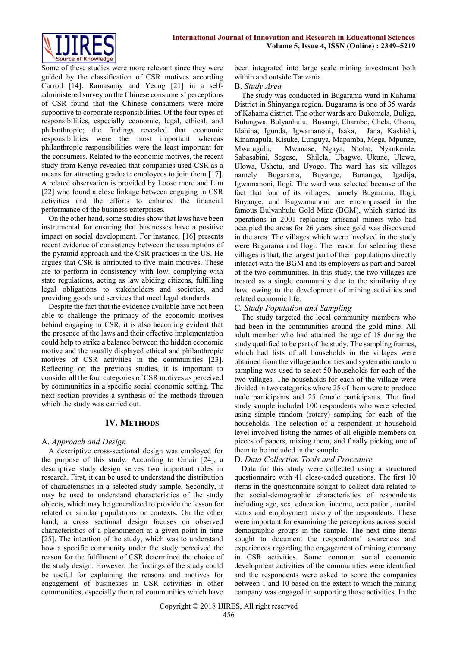

Some of these studies were more relevant since they were guided by the classification of CSR motives according Carroll [14]. Ramasamy and Yeung [21] in a selfadministered survey on the Chinese consumers' perceptions of CSR found that the Chinese consumers were more supportive to corporate responsibilities. Of the four types of responsibilities, especially economic, legal, ethical, and philanthropic; the findings revealed that economic responsibilities were the most important whereas philanthropic responsibilities were the least important for the consumers. Related to the economic motives, the recent study from Kenya revealed that companies used CSR as a means for attracting graduate employees to join them [17]. A related observation is provided by Loose more and Lim [22] who found a close linkage between engaging in CSR activities and the efforts to enhance the financial performance of the business enterprises.

On the other hand, some studies show that laws have been instrumental for ensuring that businesses have a positive impact on social development. For instance, [16] presents recent evidence of consistency between the assumptions of the pyramid approach and the CSR practices in the US. He argues that CSR is attributed to five main motives. These are to perform in consistency with low, complying with state regulations, acting as law abiding citizens, fulfilling legal obligations to stakeholders and societies, and providing goods and services that meet legal standards.

Despite the fact that the evidence available have not been able to challenge the primacy of the economic motives behind engaging in CSR, it is also becoming evident that the presence of the laws and their effective implementation could help to strike a balance between the hidden economic motive and the usually displayed ethical and philanthropic motives of CSR activities in the communities [23]. Reflecting on the previous studies, it is important to consider all the four categories of CSR motives as perceived by communities in a specific social economic setting. The next section provides a synthesis of the methods through which the study was carried out.

## **IV. METHODS**

# A. *Approach and Design*

A descriptive cross-sectional design was employed for the purpose of this study. According to Omair [24], a descriptive study design serves two important roles in research. First, it can be used to understand the distribution of characteristics in a selected study sample. Secondly, it may be used to understand characteristics of the study objects, which may be generalized to provide the lesson for related or similar populations or contexts. On the other hand, a cross sectional design focuses on observed characteristics of a phenomenon at a given point in time [25]. The intention of the study, which was to understand how a specific community under the study perceived the reason for the fulfilment of CSR determined the choice of the study design. However, the findings of the study could be useful for explaining the reasons and motives for engagement of businesses in CSR activities in other communities, especially the rural communities which have been integrated into large scale mining investment both within and outside Tanzania.

## B. *Study Area*

The study was conducted in Bugarama ward in Kahama District in Shinyanga region. Bugarama is one of 35 wards of Kahama district. The other wards are Bukomela, Bulige, Bulungwa, Bulyanhulu, Busangi, Chambo, Chela, Chona, Idahina, Igunda, Igwamanoni, Isaka, Jana, Kashishi, Kinamapula, Kisuke, Lunguya, Mapamba, Mega, Mpunze, Mwalugulu, Mwanase, Ngaya, Ntobo, Nyankende, Sabasabini, Segese, Shilela, Ubagwe, Ukune, Ulewe, Ulowa, Ushetu, and Uyogo. The ward has six villages namely Bugarama, Buyange, Bunango, Igadija, Igwamanoni, Ilogi. The ward was selected because of the fact that four of its villages, namely Bugarama, Ilogi, Buyange, and Bugwamanoni are encompassed in the famous Bulyanhulu Gold Mine (BGM), which started its operations in 2001 replacing artisanal miners who had occupied the areas for 26 years since gold was discovered in the area. The villages which were involved in the study were Bugarama and Ilogi. The reason for selecting these villages is that, the largest part of their populations directly interact with the BGM and its employers as part and parcel of the two communities. In this study, the two villages are treated as a single community due to the similarity they have owing to the development of mining activities and related economic life.

## C*. Study Population and Sampling*

The study targeted the local community members who had been in the communities around the gold mine. All adult member who had attained the age of 18 during the study qualified to be part of the study. The sampling frames, which had lists of all households in the villages were obtained from the village authorities and systematic random sampling was used to select 50 households for each of the two villages. The households for each of the village were divided in two categories where 25 of them were to produce male participants and 25 female participants. The final study sample included 100 respondents who were selected using simple random (rotary) sampling for each of the households. The selection of a respondent at household level involved listing the names of all eligible members on pieces of papers, mixing them, and finally picking one of them to be included in the sample.

# D. *Data Collection Tools and Procedure*

Data for this study were collected using a structured questionnaire with 41 close-ended questions. The first 10 items in the questionnaire sought to collect data related to the social-demographic characteristics of respondents including age, sex, education, income, occupation, marital status and employment history of the respondents. These were important for examining the perceptions across social demographic groups in the sample. The next nine items sought to document the respondents' awareness and experiences regarding the engagement of mining company in CSR activities. Some common social economic development activities of the communities were identified and the respondents were asked to score the companies between 1 and 10 based on the extent to which the mining company was engaged in supporting those activities. In the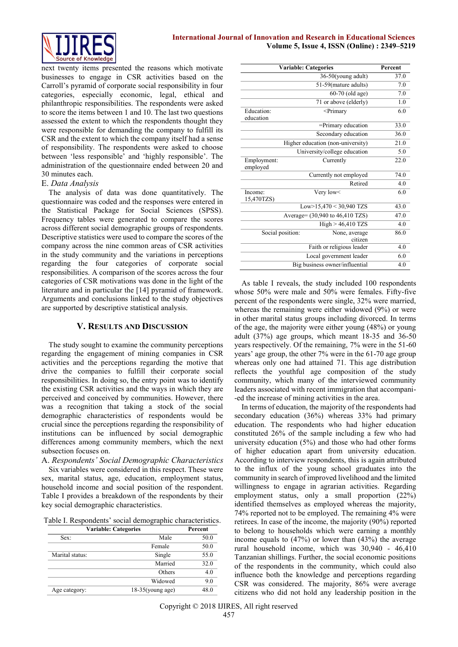

next twenty items presented the reasons which motivate businesses to engage in CSR activities based on the Carroll's pyramid of corporate social responsibility in four categories, especially economic, legal, ethical and philanthropic responsibilities. The respondents were asked to score the items between 1 and 10. The last two questions assessed the extent to which the respondents thought they were responsible for demanding the company to fulfill its CSR and the extent to which the company itself had a sense of responsibility. The respondents were asked to choose between 'less responsible' and 'highly responsible'. The administration of the questionnaire ended between 20 and 30 minutes each.

## E. *Data Analysis*

The analysis of data was done quantitatively. The questionnaire was coded and the responses were entered in the Statistical Package for Social Sciences (SPSS). Frequency tables were generated to compare the scores across different social demographic groups of respondents. Descriptive statistics were used to compare the scores of the company across the nine common areas of CSR activities in the study community and the variations in perceptions regarding the four categories of corporate social responsibilities. A comparison of the scores across the four categories of CSR motivations was done in the light of the literature and in particular the [14] pyramid of framework. Arguments and conclusions linked to the study objectives are supported by descriptive statistical analysis.

## **V. RESULTS AND DISCUSSION**

The study sought to examine the community perceptions regarding the engagement of mining companies in CSR activities and the perceptions regarding the motive that drive the companies to fulfill their corporate social responsibilities. In doing so, the entry point was to identify the existing CSR activities and the ways in which they are perceived and conceived by communities. However, there was a recognition that taking a stock of the social demographic characteristics of respondents would be crucial since the perceptions regarding the responsibility of institutions can be influenced by social demographic differences among community members, which the next subsection focuses on.

A. *Respondents' Social Demographic Characteristics* Six variables were considered in this respect. These were sex, marital status, age, education, employment status, household income and social position of the respondent. Table I provides a breakdown of the respondents by their key social demographic characteristics.

Table I. Respondents' social demographic characteristics.

| Percent | <b>Variable: Categories</b> |                 |
|---------|-----------------------------|-----------------|
| 50.0    | Male                        | Sex:            |
| 50.0    | Female                      |                 |
| 55.0    | Single                      | Marital status: |
| 32.0    | Married                     |                 |
| 4.0     | Others                      |                 |
| 9.0     | Widowed                     |                 |
| 48.0    | $18-35$ (young age)         |                 |
|         |                             | Age category:   |

| <b>Variable: Categories</b>    | Percent                                 |      |  |
|--------------------------------|-----------------------------------------|------|--|
|                                | 36-50(young adult)                      | 37.0 |  |
|                                | 51-59(mature adults)                    |      |  |
|                                | 60-70 (old age)                         | 7.0  |  |
|                                | 71 or above (elderly)                   | 1.0  |  |
| Education:                     | <primary< td=""><td>6.0</td></primary<> | 6.0  |  |
| education                      |                                         |      |  |
|                                | =Primary education                      | 33.0 |  |
|                                | Secondary education                     | 36.0 |  |
|                                | Higher education (non-university)       | 21.0 |  |
|                                | University/college education            | 5.0  |  |
| Employment:                    | Currently                               | 22.0 |  |
| employed                       |                                         |      |  |
|                                | Currently not employed                  | 74.0 |  |
|                                | Retired                                 | 4.0  |  |
| Income:                        | Very low<                               | 6.0  |  |
| 15,470TZS)                     |                                         |      |  |
|                                | Low>15,470 < 30,940 TZS                 | 43.0 |  |
|                                | Average= (30,940 to 46,410 TZS)         |      |  |
|                                | $High > 46,410$ TZS                     | 4.0  |  |
| Social position:               | None, average                           | 86.0 |  |
|                                | citizen                                 |      |  |
|                                | Faith or religious leader               | 4.0  |  |
|                                | Local government leader                 | 6.0  |  |
| Big business owner/influential |                                         |      |  |

As table I reveals, the study included 100 respondents whose 50% were male and 50% were females. Fifty-five percent of the respondents were single, 32% were married, whereas the remaining were either widowed (9%) or were in other marital status groups including divorced. In terms of the age, the majority were either young (48%) or young adult (37%) age groups, which meant 18-35 and 36-50 years respectively. Of the remaining, 7% were in the 51-60 years' age group, the other 7% were in the 61-70 age group whereas only one had attained 71. This age distribution reflects the youthful age composition of the study community, which many of the interviewed community leaders associated with recent immigration that accompani- -ed the increase of mining activities in the area.

In terms of education, the majority of the respondents had secondary education (36%) whereas 33% had primary education. The respondents who had higher education constituted 26% of the sample including a few who had university education (5%) and those who had other forms of higher education apart from university education. According to interview respondents, this is again attributed to the influx of the young school graduates into the community in search of improved livelihood and the limited willingness to engage in agrarian activities. Regarding employment status, only a small proportion (22%) identified themselves as employed whereas the majority, 74% reported not to be employed. The remaining 4% were retirees. In case of the income, the majority (90%) reported to belong to households which were earning a monthly income equals to (47%) or lower than (43%) the average rural household income, which was 30,940 - 46,410 Tanzanian shillings. Further, the social economic positions of the respondents in the community, which could also influence both the knowledge and perceptions regarding CSR was considered. The majority, 86% were average citizens who did not hold any leadership position in the

Copyright © 2018 IJIRES, All right reserved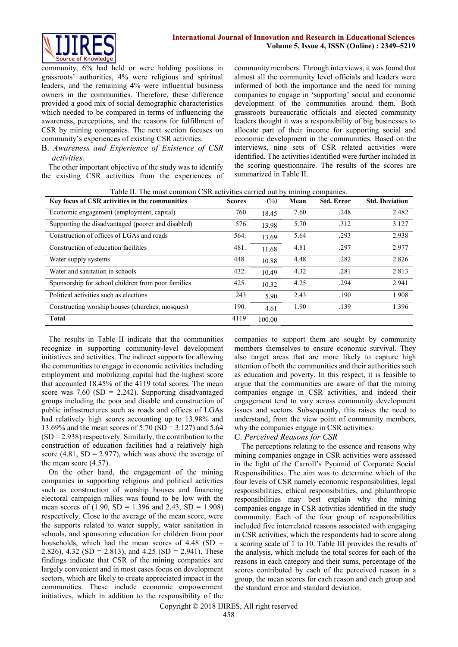

community, 6% had held or were holding positions in grassroots' authorities, 4% were religious and spiritual leaders, and the remaining 4% were influential business owners in the communities. Therefore, these difference provided a good mix of social demographic characteristics which needed to be compared in terms of influencing the awareness, perceptions, and the reasons for fulfillment of CSR by mining companies. The next section focuses on community's experiences of existing CSR activities.

B. *Awareness and Experience of Existence of CSR activities.*

The other important objective of the study was to identify the existing CSR activities from the experiences of community members. Through interviews, it was found that almost all the community level officials and leaders were informed of both the importance and the need for mining companies to engage in 'supporting' social and economic development of the communities around them. Both grassroots bureaucratic officials and elected community leaders thought it was a responsibility of big businesses to allocate part of their income for supporting social and economic development in the communities. Based on the interviews, nine sets of CSR related activities were identified. The activities identified were further included in the scoring questionnaire. The results of the scores are summarized in Table II.

| Key focus of CSR activities in the communities     | <b>Scores</b> | $(\%)$ | Mean | <b>Std. Error</b> | <b>Std. Deviation</b> |
|----------------------------------------------------|---------------|--------|------|-------------------|-----------------------|
| Economic engagement (employment, capital)          | 760           | 18.45  | 7.60 | .248              | 2.482                 |
| Supporting the disadvantaged (poorer and disabled) | 576           | 13.98  | 5.70 | .312              | 3.127                 |
| Construction of offices of LGAs and roads          | 564.          | 13.69  | 5.64 | .293              | 2.938                 |
| Construction of education facilities               | 481.          | 11.68  | 4.81 | .297              | 2.977                 |
| Water supply systems                               | 448.          | 10.88  | 4.48 | .282              | 2.826                 |
| Water and sanitation in schools                    | 432.          | 10.49  | 4.32 | .281              | 2.813                 |
| Sponsorship for school children from poor families | 425.          | 10.32  | 4.25 | .294              | 2.941                 |
| Political activities such as elections             | 243           | 5.90   | 2.43 | .190              | 1.908                 |
| Constructing worship houses (churches, mosques)    | 190.          | 4.61   | 1.90 | .139              | 1.396                 |
| <b>Total</b>                                       | 4119          | 100.00 |      |                   |                       |

Table II. The most common CSR activities carried out by mining companies.

The results in Table II indicate that the communities recognize in supporting community-level development initiatives and activities. The indirect supports for allowing the communities to engage in economic activities including employment and mobilizing capital had the highest score that accounted 18.45% of the 4119 total scores. The mean score was  $7.60$  (SD = 2.242). Supporting disadvantaged groups including the poor and disable and construction of public infrastructures such as roads and offices of LGAs had relatively high scores accounting up to 13.98% and 13.69% and the mean scores of 5.70 (SD = 3.127) and 5.64  $(SD = 2.938)$  respectively. Similarly, the contribution to the construction of education facilities had a relatively high score (4.81,  $SD = 2.977$ ), which was above the average of the mean score (4.57).

On the other hand, the engagement of the mining companies in supporting religious and political activities such as construction of worship houses and financing electoral campaign rallies was found to be low with the mean scores of  $(1.90, SD = 1.396$  and  $2.43, SD = 1.908)$ respectively. Close to the average of the mean score, were the supports related to water supply, water sanitation in schools, and sponsoring education for children from poor households, which had the mean scores of  $4.48$  (SD = 2.826), 4.32 (SD = 2.813), and 4.25 (SD = 2.941). These findings indicate that CSR of the mining companies are largely convenient and in most cases focus on development sectors, which are likely to create appreciated impact in the communities. These include economic empowerment initiatives, which in addition to the responsibility of the

companies to support them are sought by community members themselves to ensure economic survival. They also target areas that are more likely to capture high attention of both the communities and their authorities such as education and poverty. In this respect, it is feasible to argue that the communities are aware of that the mining companies engage in CSR activities, and indeed their engagement tend to vary across community development issues and sectors. Subsequently, this raises the need to understand, from the view point of community members, why the companies engage in CSR activities.

# C. *Perceived Reasons for CSR*

The perceptions relating to the essence and reasons why mining companies engage in CSR activities were assessed in the light of the Carroll's Pyramid of Corporate Social Responsibilities. The aim was to determine which of the four levels of CSR namely economic responsibilities, legal responsibilities, ethical responsibilities, and philanthropic responsibilities may best explain why the mining companies engage in CSR activities identified in the study community. Each of the four group of responsibilities included five interrelated reasons associated with engaging in CSR activities, which the respondents had to score along a scoring scale of 1 to 10. Table III provides the results of the analysis, which include the total scores for each of the reasons in each category and their sums, percentage of the scores contributed by each of the perceived reason in a group, the mean scores for each reason and each group and the standard error and standard deviation.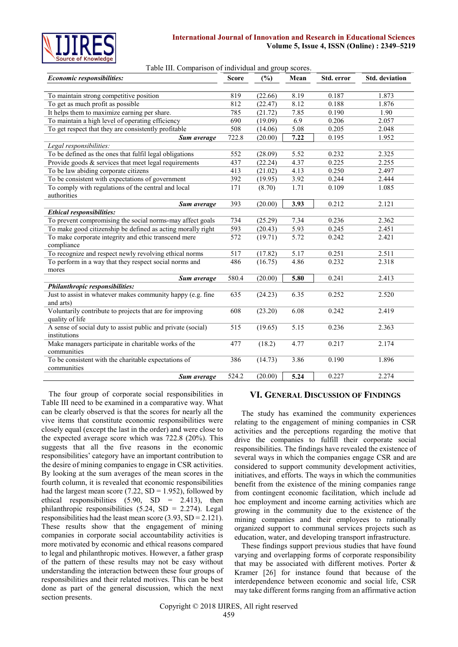

#### **International Journal of Innovation and Research in Educational Sciences Volume 5, Issue 4, ISSN (Online) : 2349–5219**

|  | Table III. Comparison of individual and group scores. |  |
|--|-------------------------------------------------------|--|
|  |                                                       |  |

| Economic responsibilities:                                   | <b>Score</b>     | (%)     | Mean              | Std. error | Std. deviation |
|--------------------------------------------------------------|------------------|---------|-------------------|------------|----------------|
|                                                              |                  |         |                   |            |                |
| To maintain strong competitive position                      | 819              | (22.66) | 8.19              | 0.187      | 1.873          |
| To get as much profit as possible                            | 812              | (22.47) | 8.12              | 0.188      | 1.876          |
| It helps them to maximize earning per share.                 | 785              | (21.72) | 7.85              | 0.190      | 1.90           |
| To maintain a high level of operating efficiency             | 690              | (19.09) | 6.9               | 0.206      | 2.057          |
| To get respect that they are consistently profitable         | 508              | (14.06) | 5.08              | 0.205      | 2.048          |
| Sum average                                                  | 722.8            | (20.00) | 7.22              | 0.195      | 1.952          |
| Legal responsibilities:                                      |                  |         |                   |            |                |
| To be defined as the ones that fulfil legal obligations      | 552              | (28.09) | 5.52              | 0.232      | 2.325          |
| Provide goods $&$ services that meet legal requirements      | 437              | (22.24) | 4.37              | 0.225      | 2.255          |
| To be law abiding corporate citizens                         | 413              | (21.02) | 4.13              | 0.250      | 2.497          |
| To be consistent with expectations of government             | 392              | (19.95) | 3.92              | 0.244      | 2.444          |
| To comply with regulations of the central and local          | 171              | (8.70)  | 1.71              | 0.109      | 1.085          |
| authorities                                                  |                  |         |                   |            |                |
| Sum average                                                  | 393              | (20.00) | 3.93              | 0.212      | 2.121          |
| <b>Ethical responsibilities:</b>                             |                  |         |                   |            |                |
| To prevent compromising the social norms-may affect goals    | 734              | (25.29) | 7.34              | 0.236      | 2.362          |
| To make good citizenship be defined as acting morally right  | 593              | (20.43) | $\overline{5.93}$ | 0.245      | 2.451          |
| To make corporate integrity and ethic transcend mere         | 572              | (19.71) | $\overline{5.72}$ | 0.242      | 2.421          |
| compliance                                                   |                  |         |                   |            |                |
| To recognize and respect newly revolving ethical norms       | 517              | (17.82) | 5.17              | 0.251      | 2.511          |
| To perform in a way that they respect social norms and       | 486              | (16.75) | 4.86              | 0.232      | 2.318          |
| mores                                                        |                  |         |                   |            |                |
| Sum average                                                  | 580.4            | (20.00) | 5.80              | 0.241      | 2.413          |
| Philanthropic responsibilities:                              |                  |         |                   |            |                |
| Just to assist in whatever makes community happy (e.g. fine  | 635              | (24.23) | 6.35              | 0.252      | 2.520          |
| and arts)                                                    |                  |         |                   |            |                |
| Voluntarily contribute to projects that are for improving    | 608              | (23.20) | 6.08              | 0.242      | 2.419          |
| quality of life                                              |                  |         |                   |            |                |
| A sense of social duty to assist public and private (social) | $\overline{515}$ | (19.65) | $\overline{5.15}$ | 0.236      | 2.363          |
| institutions                                                 |                  |         |                   |            |                |
| Make managers participate in charitable works of the         | 477              | (18.2)  | 4.77              | 0.217      | 2.174          |
| communities                                                  |                  |         |                   |            |                |
| To be consistent with the charitable expectations of         | 386              | (14.73) | 3.86              | 0.190      | 1.896          |
| communities                                                  |                  |         |                   |            |                |
| Sum average                                                  | 524.2            | (20.00) | 5.24              | 0.227      | 2.274          |

The four group of corporate social responsibilities in Table III need to be examined in a comparative way. What can be clearly observed is that the scores for nearly all the vive items that constitute economic responsibilities were closely equal (except the last in the order) and were close to the expected average score which was 722.8 (20%). This suggests that all the five reasons in the economic responsibilities' category have an important contribution to the desire of mining companies to engage in CSR activities. By looking at the sum averages of the mean scores in the fourth column, it is revealed that economic responsibilities had the largest mean score (7.22,  $SD = 1.952$ ), followed by ethical responsibilities  $(5.90, SD = 2.413)$ , then philanthropic responsibilities  $(5.24, SD = 2.274)$ . Legal responsibilities had the least mean score  $(3.93, SD = 2.121)$ . These results show that the engagement of mining companies in corporate social accountability activities is more motivated by economic and ethical reasons compared to legal and philanthropic motives. However, a father grasp of the pattern of these results may not be easy without understanding the interaction between these four groups of responsibilities and their related motives. This can be best done as part of the general discussion, which the next section presents.

#### **VI. GENERAL DISCUSSION OF FINDINGS**

The study has examined the community experiences relating to the engagement of mining companies in CSR activities and the perceptions regarding the motive that drive the companies to fulfill their corporate social responsibilities. The findings have revealed the existence of several ways in which the companies engage CSR and are considered to support community development activities, initiatives, and efforts. The ways in which the communities benefit from the existence of the mining companies range from contingent economic facilitation, which include ad hoc employment and income earning activities which are growing in the community due to the existence of the mining companies and their employees to rationally organized support to communal services projects such as education, water, and developing transport infrastructure.

These findings support previous studies that have found varying and overlapping forms of corporate responsibility that may be associated with different motives. Porter  $\&$ Kramer [26] for instance found that because of the interdependence between economic and social life, CSR may take different forms ranging from an affirmative action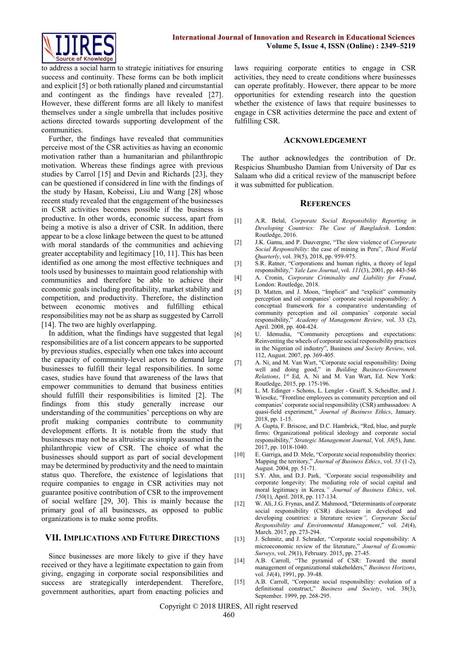

to address a social harm to strategic initiatives for ensuring success and continuity. These forms can be both implicit and explicit [5] or both rationally planed and circumstantial and contingent as the findings have revealed [27]. However, these different forms are all likely to manifest themselves under a single umbrella that includes positive actions directed towards supporting development of the communities.

Further, the findings have revealed that communities perceive most of the CSR activities as having an economic motivation rather than a humanitarian and philanthropic motivation. Whereas these findings agree with previous studies by Carrol [15] and Devin and Richards [23], they can be questioned if considered in line with the findings of the study by Hasan, Kobeissi, Liu and Wang [28] whose recent study revealed that the engagement of the businesses in CSR activities becomes possible if the business is productive. In other words, economic success, apart from being a motive is also a driver of CSR. In addition, there appear to be a close linkage between the quest to be attuned with moral standards of the communities and achieving greater acceptability and legitimacy [10, 11]. This has been identified as one among the most effective techniques and tools used by businesses to maintain good relationship with communities and therefore be able to achieve their economic goals including profitability, market stability and competition, and productivity. Therefore, the distinction between economic motives and fulfilling ethical responsibilities may not be as sharp as suggested by Carroll [14]. The two are highly overlapping.

In addition, what the findings have suggested that legal responsibilities are of a list concern appears to be supported by previous studies, especially when one takes into account the capacity of community-level actors to demand large businesses to fulfill their legal responsibilities. In some cases, studies have found that awareness of the laws that empower communities to demand that business entities should fulfill their responsibilities is limited [2]. The findings from this study generally increase our understanding of the communities' perceptions on why are profit making companies contribute to community development efforts. It is notable from the study that businesses may not be as altruistic as simply assumed in the philanthropic view of CSR. The choice of what the businesses should support as part of social development may be determined by productivity and the need to maintain status quo. Therefore, the existence of legislations that require companies to engage in CSR activities may not guarantee positive contribution of CSR to the improvement of social welfare [29, 30]. This is mainly because the primary goal of all businesses, as opposed to public organizations is to make some profits.

## **VII. IMPLICATIONS AND FUTURE DIRECTIONS**

Since businesses are more likely to give if they have received or they have a legitimate expectation to gain from giving, engaging in corporate social responsibilities and success are strategically interdependent. Therefore, government authorities, apart from enacting policies and laws requiring corporate entities to engage in CSR activities, they need to create conditions where businesses can operate profitably. However, there appear to be more opportunities for extending research into the question whether the existence of laws that require businesses to engage in CSR activities determine the pace and extent of fulfilling CSR.

#### **ACKNOWLEDGEMENT**

The author acknowledges the contribution of Dr. Respicius Shumbusho Damian from University of Dar es Salaam who did a critical review of the manuscript before it was submitted for publication.

#### **REFERENCES**

- [1] A.R. Belal, *Corporate Social Responsibility Reporting in Developing Countries: The Case of Bangladesh*. London: Routledge, 2016.
- [2] J.K. Gamu, and P. Dauvergne, "The slow violence of *Corporate Social Responsibility*: the case of mining in Peru", *Third World Quarterly*, vol. 39(5), 2018, pp. 959-975.
- [3] S.R. Ratner, "Corporations and human rights, a theory of legal responsibility," *Yale Law Journal*, vol. *111*(3), 2001, pp. 443-546
- [4] A. Cronin, *Corporate Criminality and Liability for Fraud*, London: Routledge, 2018.
- [5] D. Matten, and J. Moon, "Implicit" and "explicit" community perception and oil companies' corporate social responsibility: A conceptual framework for a comparative understanding of community perception and oil companies' corporate social responsibility," *Academy of Management Review*, vol. 33 (2), April. 2008, pp. 404-424.
- [6] U. Idemudia, "Community perceptions and expectations: Reinventing the wheels of corporate social responsibility practices in the Nigerian oil industry", Business *and Society Review*, vol. 112, August. 2007, pp. 369-405.
- [7] A. Ni, and M. Van Wart, "Corporate social responsibility: Doing well and doing good," in *Building Business-Government Relations*, 1st Ed, A. Ni and M. Van Wart, Ed. New York: Routledge, 2015, pp. 175-196.
- [8] L. M. Edinger Schons, L. Lengler Graiff, S. Scheidler, and J. Wieseke, "Frontline employees as community perception and oil companies' corporate social responsibility (CSR) ambassadors: A quasi-field experiment," *Journal of Business Ethics*, January. 2018, pp. 1-15.
- [9] A. Gupta, F. Briscoe, and D.C. Hambrick, "Red, blue, and purple firms: Organizational political ideology and corporate social responsibility," *Strategic Management Journal*, Vol. *38*(5), June. 2017, pp. 1018-1040.
- [10] E. Garriga, and D. Mele, "Corporate social responsibility theories: Mapping the territory," *Journal of Business Ethics*, vol. *53* (1-2), August. 2004, pp. 51-71.
- [11] S.Y. Ahn, and D.J. Park, *"*Corporate social responsibility and corporate longevity: The mediating role of social capital and moral legitimacy in Korea*," Journal of Business Ethics*, vol. *150*(1), April. 2018, pp. 117-134.
- [12] W. Ali, J.G. Frynas, and Z. Mahmood, "Determinants of corporate social responsibility (CSR) disclosure in developed and developing countries: a literature review*", Corporate Social Responsibility and Environmental Management*," vol. *24*(4), March. 2017, pp. 273-294.
- [13] J. Schmitz, and J. Schrader, "Corporate social responsibility: A microeconomic review of the literature," *Journal of Economic Surveys*, vol. *29*(1), February. 2015, pp. 27-45.
- [14] A.B. Carroll, "The pyramid of CSR: Toward the moral management of organizational stakeholders," *Business Horizons*, vol. *34*(4), 1991, pp. 39-48.
- [15] A.B. Carroll, "Corporate social responsibility: evolution of a definitional construct," *Business and Society*, vol. 38(3), September. 1999, pp. 268-295.